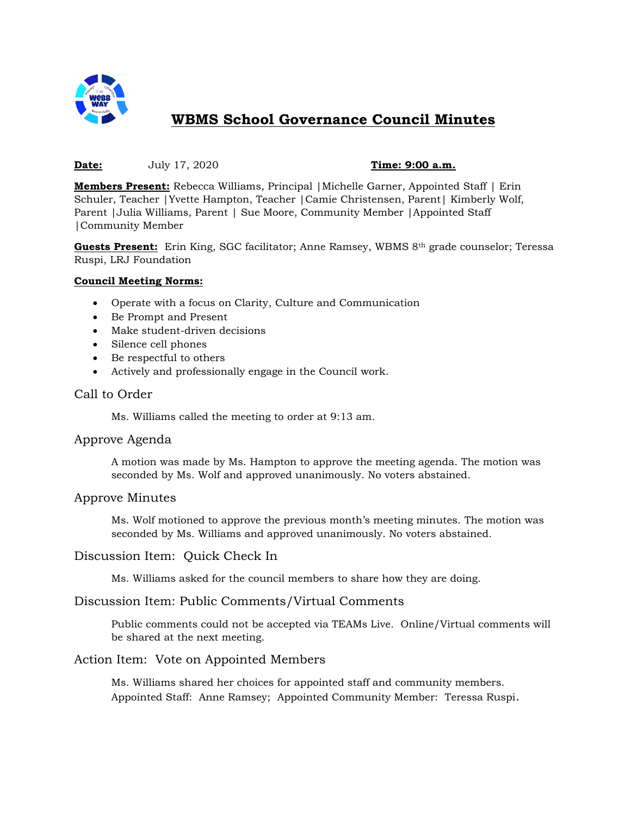

# **WBMS School Governance Council Minutes**

#### **Date:** July 17, 2020 **Time: 9:00 a.m.**

**Members Present:** Rebecca Williams, Principal |Michelle Garner, Appointed Staff | Erin Schuler, Teacher |Yvette Hampton, Teacher |Camie Christensen, Parent| Kimberly Wolf, Parent |Julia Williams, Parent | Sue Moore, Community Member |Appointed Staff |Community Member

**Guests Present:** Erin King, SGC facilitator; Anne Ramsey, WBMS 8th grade counselor; Teressa Ruspi, LRJ Foundation

#### **Council Meeting Norms:**

- Operate with a focus on Clarity, Culture and Communication
- Be Prompt and Present
- Make student-driven decisions
- Silence cell phones
- Be respectful to others
- Actively and professionally engage in the Council work.

### Call to Order

Ms. Williams called the meeting to order at 9:13 am.

### Approve Agenda

A motion was made by Ms. Hampton to approve the meeting agenda. The motion was seconded by Ms. Wolf and approved unanimously. No voters abstained.

### Approve Minutes

Ms. Wolf motioned to approve the previous month's meeting minutes. The motion was seconded by Ms. Williams and approved unanimously. No voters abstained.

### Discussion Item: Quick Check In

Ms. Williams asked for the council members to share how they are doing.

### Discussion Item: Public Comments/Virtual Comments

Public comments could not be accepted via TEAMs Live. Online/Virtual comments will be shared at the next meeting.

### Action Item: Vote on Appointed Members

Ms. Williams shared her choices for appointed staff and community members. Appointed Staff: Anne Ramsey; Appointed Community Member: Teressa Ruspi.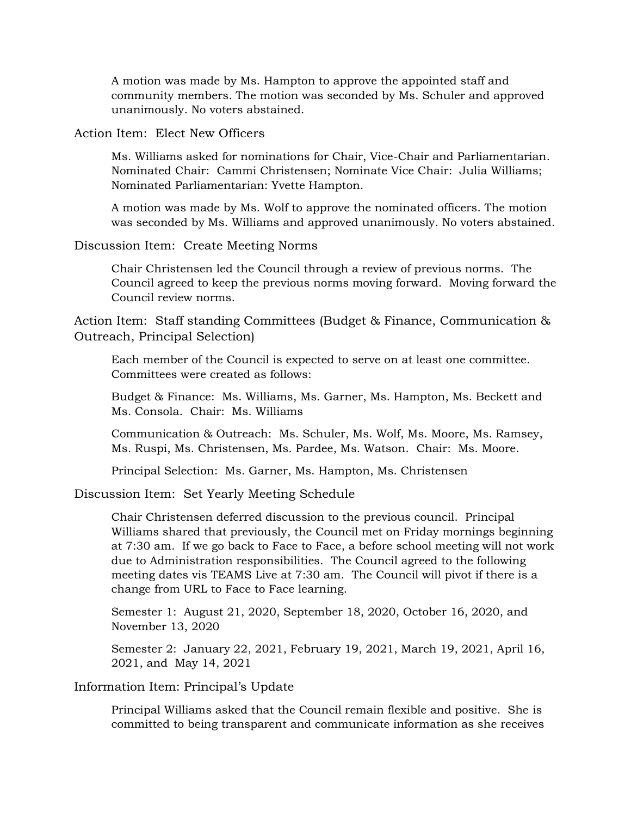A motion was made by Ms. Hampton to approve the appointed staff and community members. The motion was seconded by Ms. Schuler and approved unanimously. No voters abstained.

# Action Item: Elect New Officers

Ms. Williams asked for nominations for Chair, Vice-Chair and Parliamentarian. Nominated Chair: Cammi Christensen; Nominate Vice Chair: Julia Williams; Nominated Parliamentarian: Yvette Hampton.

A motion was made by Ms. Wolf to approve the nominated officers. The motion was seconded by Ms. Williams and approved unanimously. No voters abstained.

#### Discussion Item: Create Meeting Norms

Chair Christensen led the Council through a review of previous norms. The Council agreed to keep the previous norms moving forward. Moving forward the Council review norms.

Action Item: Staff standing Committees (Budget & Finance, Communication & Outreach, Principal Selection)

Each member of the Council is expected to serve on at least one committee. Committees were created as follows:

Budget & Finance: Ms. Williams, Ms. Garner, Ms. Hampton, Ms. Beckett and Ms. Consola. Chair: Ms. Williams

Communication & Outreach: Ms. Schuler, Ms. Wolf, Ms. Moore, Ms. Ramsey, Ms. Ruspi, Ms. Christensen, Ms. Pardee, Ms. Watson. Chair: Ms. Moore.

Principal Selection: Ms. Garner, Ms. Hampton, Ms. Christensen

Discussion Item: Set Yearly Meeting Schedule

Chair Christensen deferred discussion to the previous council. Principal Williams shared that previously, the Council met on Friday mornings beginning at 7:30 am. If we go back to Face to Face, a before school meeting will not work due to Administration responsibilities. The Council agreed to the following meeting dates vis TEAMS Live at 7:30 am. The Council will pivot if there is a change from URL to Face to Face learning.

Semester 1: August 21, 2020, September 18, 2020, October 16, 2020, and November 13, 2020

Semester 2: January 22, 2021, February 19, 2021, March 19, 2021, April 16, 2021, and May 14, 2021

## Information Item: Principal's Update

Principal Williams asked that the Council remain flexible and positive. She is committed to being transparent and communicate information as she receives